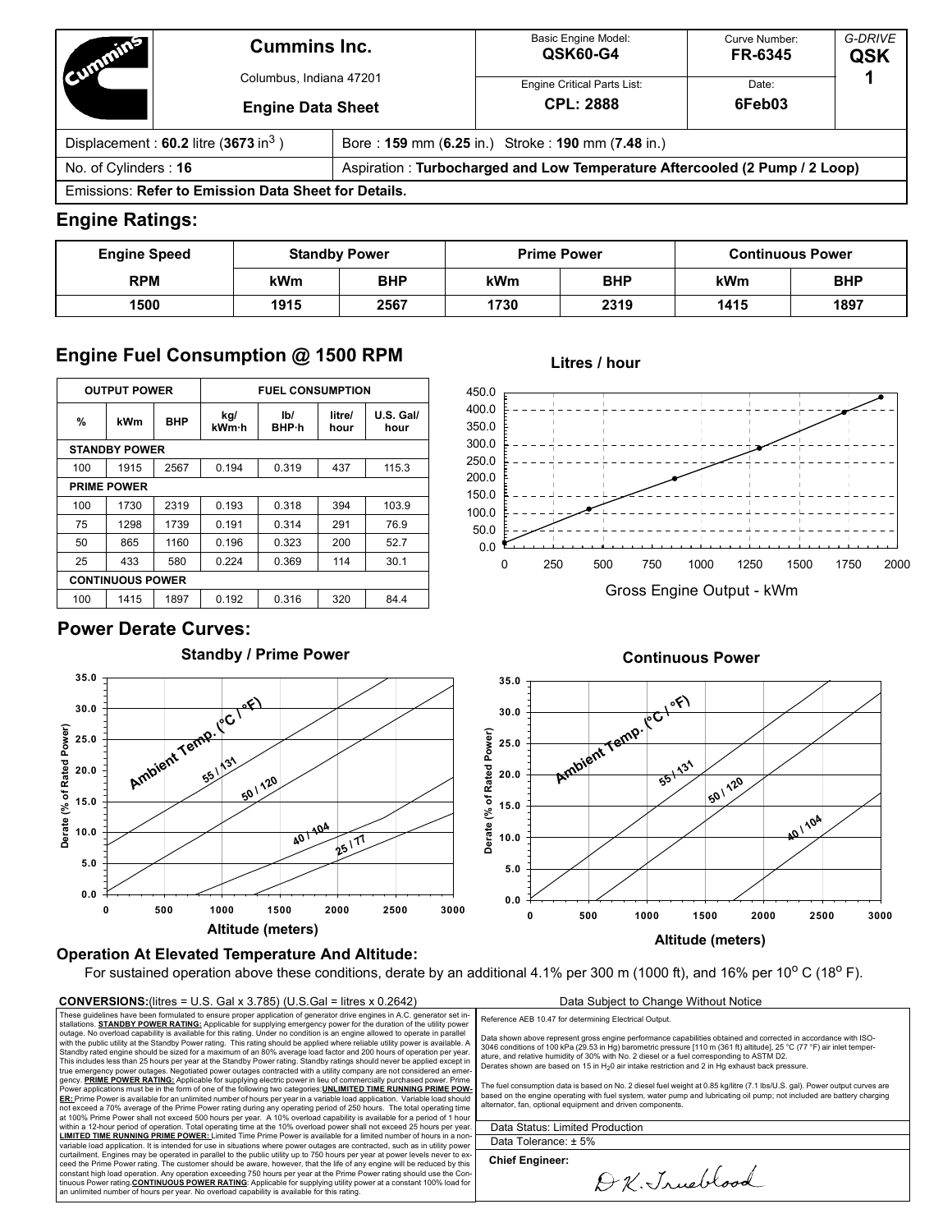| Committee                                          | <b>Cummins Inc.</b>                                  |  | Basic Engine Model:<br><b>QSK60-G4</b>                                     | Curve Number:<br>FR-6345 | G-DRIVE<br>QSK |
|----------------------------------------------------|------------------------------------------------------|--|----------------------------------------------------------------------------|--------------------------|----------------|
|                                                    | Columbus, Indiana 47201                              |  | Engine Critical Parts List:                                                | Date:                    |                |
|                                                    | <b>Engine Data Sheet</b>                             |  | <b>CPL: 2888</b>                                                           | 6Feb03                   |                |
| Displacement: $60.2$ litre (3673 in <sup>3</sup> ) |                                                      |  | Bore: 159 mm (6.25 in.) Stroke: 190 mm (7.48 in.)                          |                          |                |
| No. of Cylinders: 16                               |                                                      |  | Aspiration: Turbocharged and Low Temperature Aftercooled (2 Pump / 2 Loop) |                          |                |
|                                                    | Emissions: Refer to Emission Data Sheet for Details. |  |                                                                            |                          |                |

## **Engine Ratings:**

| <b>Engine Speed</b> | <b>Standby Power</b> |            |      | <b>Prime Power</b> | <b>Continuous Power</b> |            |  |
|---------------------|----------------------|------------|------|--------------------|-------------------------|------------|--|
| <b>RPM</b>          | kWm                  | <b>BHP</b> | kWm  | <b>BHP</b>         | kWm                     | <b>BHP</b> |  |
| 1500                | 1915                 | 2567       | 1730 | 2319               | 1415                    | 1897       |  |

**Litres / hour**

0.0 50.0 100.0 150.0 200.0 250.0 300.0 350.0 400.0 450.0

# **Engine Fuel Consumption @ 1500 RPM**

| <b>OUTPUT POWER</b>  |                         |      | <b>FUEL CONSUMPTION</b>              |       |                |                   |  |
|----------------------|-------------------------|------|--------------------------------------|-------|----------------|-------------------|--|
| %                    | kWm                     | BHP  | IbI<br>kg/<br>kWm·h<br><b>BHP</b> ·h |       | litre/<br>hour | U.S. Gall<br>hour |  |
| <b>STANDBY POWER</b> |                         |      |                                      |       |                |                   |  |
| 100                  | 1915                    | 2567 | 0.194                                | 0.319 | 437            | 115.3             |  |
| <b>PRIME POWER</b>   |                         |      |                                      |       |                |                   |  |
| 100                  | 1730                    | 2319 | 0.193                                | 0.318 | 394            | 103.9             |  |
| 75                   | 1298                    | 1739 | 0.191                                | 0.314 | 291            | 76.9              |  |
| 50                   | 865                     | 1160 | 0.196                                | 0.323 | 200            | 52.7              |  |
| 25                   | 433                     | 580  | 0.224                                | 0.369 | 114            | 30.1              |  |
|                      | <b>CONTINUOUS POWER</b> |      |                                      |       |                |                   |  |
| 100                  | 1415                    | 1897 | 0.192                                | 0.316 | 320            | 84.4              |  |

# **Power Derate Curves:**

**0.0**

**5.0 10.0**

**15.0**

**Derate (% of Rated Power)**

**20.0 25.0**

**30.0 35.0**



# **Continuous Power**

0 250 500 750 1000 1250 1500 1750 2000 Gross Engine Output - kWm



# **Operation At Elevated Temperature And Altitude:**

**Altitude (meters)**

For sustained operation above these conditions, derate by an additional 4.1% per 300 m (1000 ft), and 16% per 10° C (18° F).

### **CONVERSIONS:**(litres = U.S. Gal x 3.785) (U.S.Gal = litres x 0.2642) Data Subject to Change Without Notice

These guidelines have been formulated to ensure proper application of generator drive engines in A.C. generator set installations. **STANDBY POWER RATING:** Applicable for supplying emergency power for the duration of the utility power outage. No overload capability is available for this rating. Under no condition is an engine allowed to operate in parallel<br>with the public utility at the Standby Power rating. This rating should be applied where reliable This includes less than 25 hours per year at the Standby Power rating. Standby ratings should never be applied except in<br>true emergency power outages. Negotiated power outages contracted with a utility company are not cons **ER:** Prime Power is available for an unlimited number of hours per year in a variable load application. Variable load should not exceed a 70% average of the Prime Power rating during any operating period of 250 hours. The total operating time<br>at 100% Prime Power shall not exceed 500 hours per year. A 10% overload capability is available for a **LIMITED TIME RUNNING PRIME POWER:** Limited Time Prime Power is available for a limited number of hours in a non-<br>variable load application. It is intended for use in situations where power outages are contracted, such as ceed the Prime Power rating. The customer should be aware, however, that the life of any engine will be reduced by this constant high load operation. Any operation exceeding 750 hours per year at the Prime Power rating should use the Con-<br>tinuous Power rating <u>CO**NTINUOUS POWER RATING:** Appl</u>icable for supplying utility power at a constant Reference AEB 10.47 for determining Electrical Output.

Data shown above represent gross engine performance capabilities obtained and corrected in accordance with ISO-<br>3046 conditions of 100 kPa (29.53 in Hg) barometric pressure [110 m (361 ft) altitude], 25 °C (77 °F) air inle Derates shown are based on 15 in  $H_2$ 0 air intake restriction and 2 in Hg exhaust back pressure.

The fuel consumption data is based on No. 2 diesel fuel weight at 0.85 kg/litre (7.1 lbs/U.S. gal). Power output curves are based on the engine operating with fuel system, water pump and lubricating oil pump; not included are battery charging alternator, fan, optional equipment and driven components.

Data Status: Limited Production Data Tolerance: ± 5%

**Chief Engineer:**

D.K. Jrueblood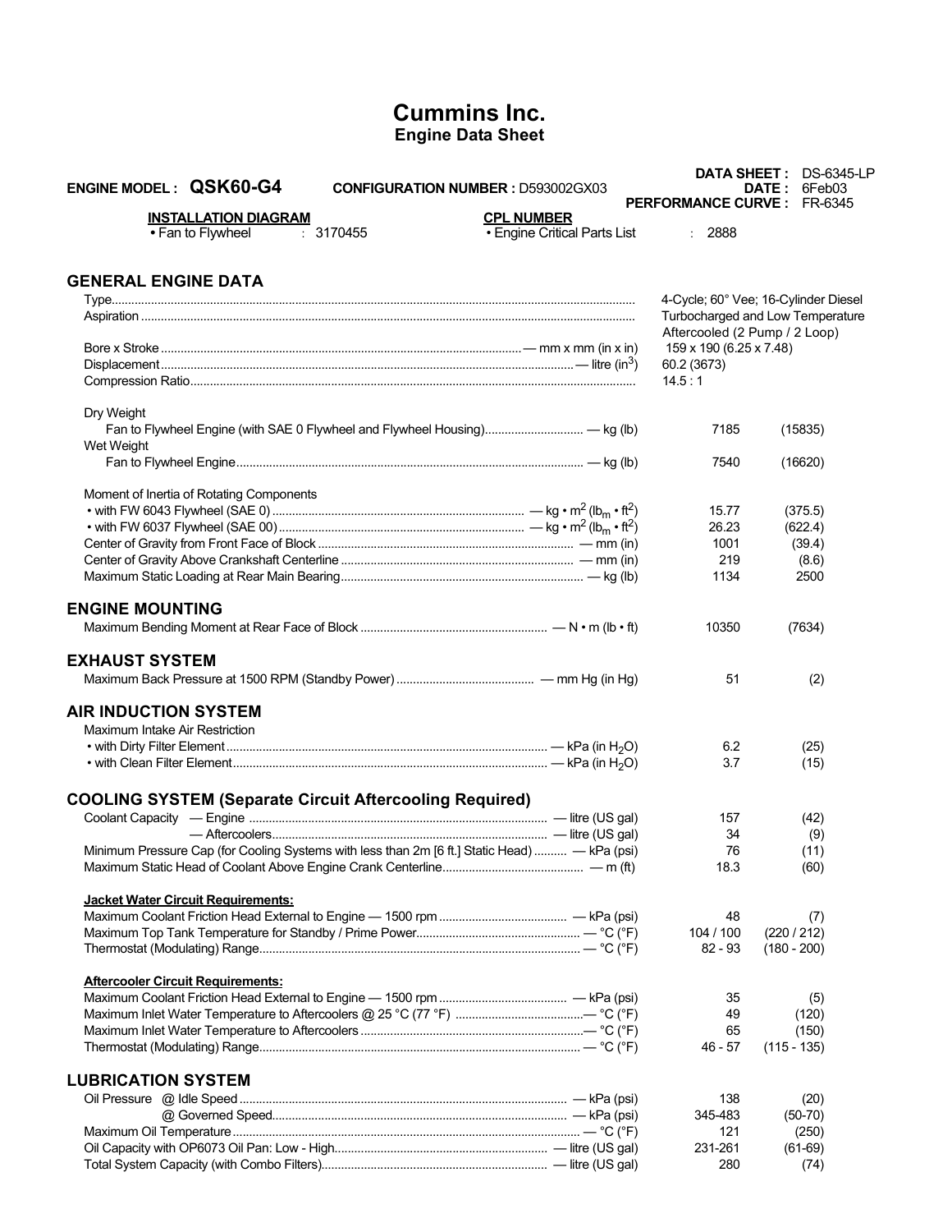# **Cummins Inc. Engine Data Sheet**

| <b>ENGINE MODEL: QSK60-G4</b><br><b>CONFIGURATION NUMBER: D593002GX03</b>                     |                                                   |                                        | DATA SHEET: DS-6345-LP<br><b>DATE: 6Feb03</b> |
|-----------------------------------------------------------------------------------------------|---------------------------------------------------|----------------------------------------|-----------------------------------------------|
|                                                                                               |                                                   |                                        | <b>PERFORMANCE CURVE: FR-6345</b>             |
| <b>INSTALLATION DIAGRAM</b><br>• Fan to Flywheel<br>: 3170455                                 | <b>CPL NUMBER</b><br>• Engine Critical Parts List | : 2888                                 |                                               |
| <b>GENERAL ENGINE DATA</b>                                                                    |                                                   |                                        |                                               |
|                                                                                               |                                                   |                                        | 4-Cycle; 60° Vee; 16-Cylinder Diesel          |
|                                                                                               |                                                   |                                        | Turbocharged and Low Temperature              |
|                                                                                               |                                                   | Aftercooled (2 Pump / 2 Loop)          |                                               |
|                                                                                               |                                                   | 159 x 190 (6.25 x 7.48)<br>60.2 (3673) |                                               |
|                                                                                               |                                                   | 14.5:1                                 |                                               |
|                                                                                               |                                                   |                                        |                                               |
| Dry Weight                                                                                    |                                                   |                                        |                                               |
| Fan to Flywheel Engine (with SAE 0 Flywheel and Flywheel Housing) - kg (lb)                   |                                                   | 7185                                   | (15835)                                       |
| Wet Weight                                                                                    |                                                   |                                        |                                               |
|                                                                                               |                                                   | 7540                                   | (16620)                                       |
| Moment of Inertia of Rotating Components                                                      |                                                   |                                        |                                               |
|                                                                                               |                                                   | 15.77                                  | (375.5)                                       |
|                                                                                               |                                                   | 26.23                                  | (622.4)                                       |
|                                                                                               |                                                   | 1001                                   | (39.4)                                        |
|                                                                                               |                                                   | 219                                    | (8.6)                                         |
|                                                                                               |                                                   | 1134                                   | 2500                                          |
| <b>ENGINE MOUNTING</b>                                                                        |                                                   |                                        |                                               |
|                                                                                               |                                                   | 10350                                  | (7634)                                        |
|                                                                                               |                                                   |                                        |                                               |
| <b>EXHAUST SYSTEM</b>                                                                         |                                                   |                                        |                                               |
|                                                                                               |                                                   | 51                                     | (2)                                           |
| <b>AIR INDUCTION SYSTEM</b>                                                                   |                                                   |                                        |                                               |
| Maximum Intake Air Restriction                                                                |                                                   |                                        |                                               |
|                                                                                               |                                                   | 6.2                                    | (25)                                          |
|                                                                                               |                                                   | 3.7                                    | (15)                                          |
|                                                                                               |                                                   |                                        |                                               |
| <b>COOLING SYSTEM (Separate Circuit Aftercooling Required)</b>                                |                                                   |                                        |                                               |
|                                                                                               |                                                   | 157                                    | (42)                                          |
|                                                                                               |                                                   | 34                                     | (9)                                           |
| Minimum Pressure Cap (for Cooling Systems with less than 2m [6 ft.] Static Head)  - kPa (psi) |                                                   | 76                                     | (11)                                          |
|                                                                                               |                                                   | 18.3                                   | (60)                                          |
| <b>Jacket Water Circuit Requirements:</b>                                                     |                                                   |                                        |                                               |
|                                                                                               |                                                   | 48                                     | (7)                                           |
|                                                                                               |                                                   | 104 / 100                              | (220/212)                                     |
|                                                                                               |                                                   | $82 - 93$                              | $(180 - 200)$                                 |
| <b>Aftercooler Circuit Requirements:</b>                                                      |                                                   |                                        |                                               |
|                                                                                               |                                                   | 35                                     | (5)                                           |
|                                                                                               |                                                   | 49                                     | (120)                                         |
|                                                                                               |                                                   | 65                                     | (150)                                         |
|                                                                                               |                                                   | $46 - 57$                              | $(115 - 135)$                                 |
| <b>LUBRICATION SYSTEM</b>                                                                     |                                                   |                                        |                                               |
|                                                                                               |                                                   | 138                                    | (20)                                          |
|                                                                                               |                                                   | 345-483                                | $(50-70)$                                     |
|                                                                                               |                                                   | 121                                    | (250)                                         |
|                                                                                               |                                                   | 231-261                                | $(61-69)$                                     |
|                                                                                               |                                                   | 280                                    | (74)                                          |